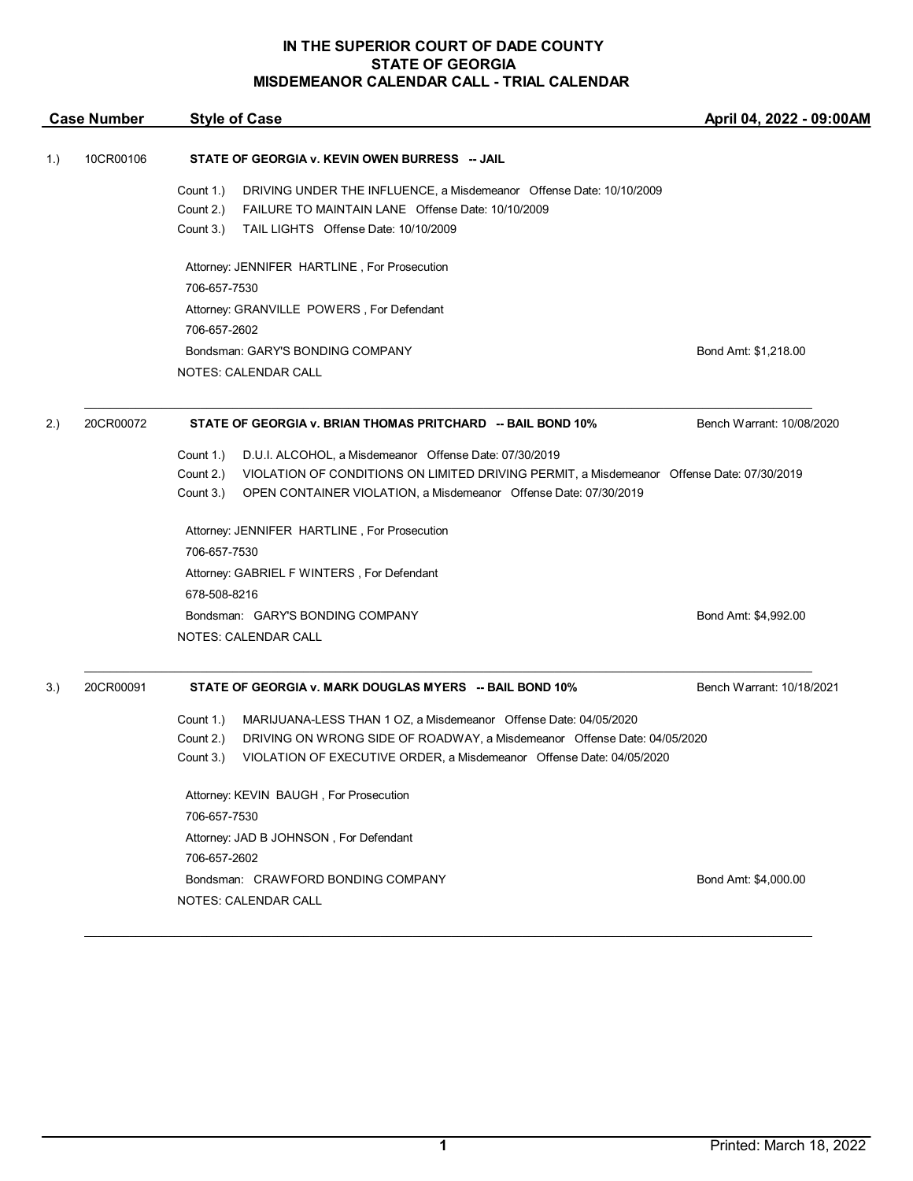| Bond Amt: \$1,218.00                                                                      |
|-------------------------------------------------------------------------------------------|
|                                                                                           |
| Bench Warrant: 10/08/2020                                                                 |
|                                                                                           |
| VIOLATION OF CONDITIONS ON LIMITED DRIVING PERMIT, a Misdemeanor Offense Date: 07/30/2019 |
|                                                                                           |
|                                                                                           |
|                                                                                           |
|                                                                                           |
|                                                                                           |
| Bond Amt: \$4,992.00                                                                      |
|                                                                                           |
| Bench Warrant: 10/18/2021                                                                 |
|                                                                                           |
|                                                                                           |
|                                                                                           |
|                                                                                           |
| Bond Amt: \$4,000.00                                                                      |
|                                                                                           |
|                                                                                           |

\_\_\_\_\_\_\_\_\_\_\_\_\_\_\_\_\_\_\_\_\_\_\_\_\_\_\_\_\_\_\_\_\_\_\_\_\_\_\_\_\_\_\_\_\_\_\_\_\_\_\_\_\_\_\_\_\_\_\_\_\_\_\_\_\_\_\_\_\_\_\_\_\_\_\_\_\_\_\_\_\_\_\_\_\_\_\_\_\_\_\_\_\_\_\_\_\_\_\_\_\_\_\_\_\_\_\_\_\_\_\_\_\_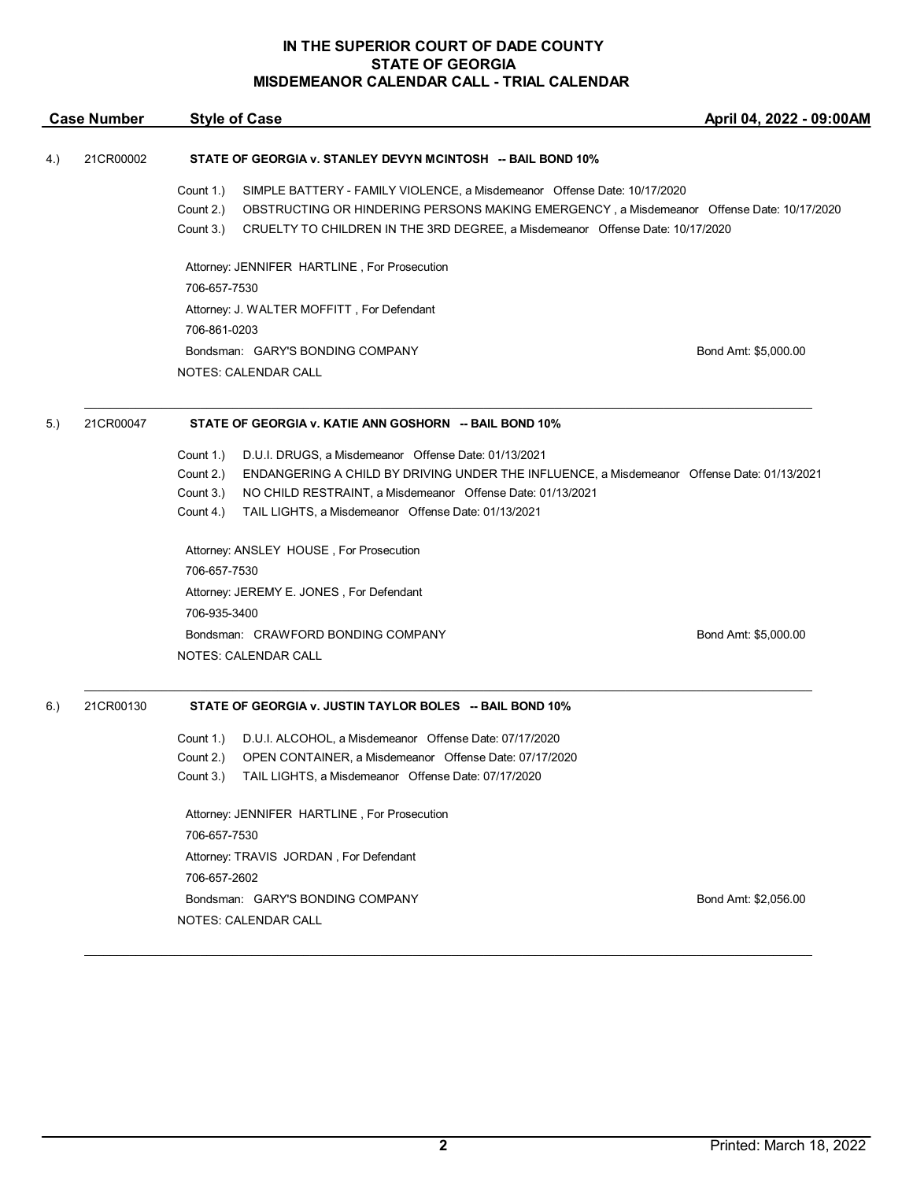|     | <b>Case Number</b> | <b>Style of Case</b>                                                                                                                                                                                                                                                                          | April 04, 2022 - 09:00AM |
|-----|--------------------|-----------------------------------------------------------------------------------------------------------------------------------------------------------------------------------------------------------------------------------------------------------------------------------------------|--------------------------|
| 4.) | 21CR00002          | STATE OF GEORGIA v. STANLEY DEVYN MCINTOSH -- BAIL BOND 10%                                                                                                                                                                                                                                   |                          |
|     |                    | Count 1.)<br>SIMPLE BATTERY - FAMILY VIOLENCE, a Misdemeanor Offense Date: 10/17/2020<br>Count 2.)<br>OBSTRUCTING OR HINDERING PERSONS MAKING EMERGENCY, a Misdemeanor Offense Date: 10/17/2020<br>Count 3.)<br>CRUELTY TO CHILDREN IN THE 3RD DEGREE, a Misdemeanor Offense Date: 10/17/2020 |                          |
|     |                    | Attorney: JENNIFER HARTLINE, For Prosecution                                                                                                                                                                                                                                                  |                          |
|     |                    | 706-657-7530                                                                                                                                                                                                                                                                                  |                          |
|     |                    | Attorney: J. WALTER MOFFITT, For Defendant                                                                                                                                                                                                                                                    |                          |
|     |                    | 706-861-0203                                                                                                                                                                                                                                                                                  |                          |
|     |                    | Bondsman: GARY'S BONDING COMPANY                                                                                                                                                                                                                                                              | Bond Amt: \$5,000.00     |
|     |                    | NOTES: CALENDAR CALL                                                                                                                                                                                                                                                                          |                          |
| 5.) | 21CR00047          | STATE OF GEORGIA v. KATIE ANN GOSHORN -- BAIL BOND 10%                                                                                                                                                                                                                                        |                          |
|     |                    | Count 1.)<br>D.U.I. DRUGS, a Misdemeanor Offense Date: 01/13/2021                                                                                                                                                                                                                             |                          |
|     |                    | ENDANGERING A CHILD BY DRIVING UNDER THE INFLUENCE, a Misdemeanor Offense Date: 01/13/2021<br>Count 2.)                                                                                                                                                                                       |                          |
|     |                    | Count 3.)<br>NO CHILD RESTRAINT, a Misdemeanor Offense Date: 01/13/2021                                                                                                                                                                                                                       |                          |
|     |                    | Count 4.)<br>TAIL LIGHTS, a Misdemeanor Offense Date: 01/13/2021                                                                                                                                                                                                                              |                          |
|     |                    | Attorney: ANSLEY HOUSE, For Prosecution                                                                                                                                                                                                                                                       |                          |
|     |                    | 706-657-7530                                                                                                                                                                                                                                                                                  |                          |
|     |                    | Attorney: JEREMY E. JONES, For Defendant                                                                                                                                                                                                                                                      |                          |
|     |                    | 706-935-3400                                                                                                                                                                                                                                                                                  |                          |
|     |                    | Bondsman: CRAWFORD BONDING COMPANY                                                                                                                                                                                                                                                            | Bond Amt: \$5,000.00     |
|     |                    | NOTES: CALENDAR CALL                                                                                                                                                                                                                                                                          |                          |
| 6.) | 21CR00130          | STATE OF GEORGIA v. JUSTIN TAYLOR BOLES -- BAIL BOND 10%                                                                                                                                                                                                                                      |                          |
|     |                    | D.U.I. ALCOHOL, a Misdemeanor Offense Date: 07/17/2020<br>Count 1.)                                                                                                                                                                                                                           |                          |
|     |                    | OPEN CONTAINER, a Misdemeanor Offense Date: 07/17/2020<br>Count 2.)                                                                                                                                                                                                                           |                          |
|     |                    | Count 3.) TAIL LIGHTS, a Misdemeanor Offense Date: 07/17/2020                                                                                                                                                                                                                                 |                          |
|     |                    | Attorney: JENNIFER HARTLINE, For Prosecution<br>706-657-7530                                                                                                                                                                                                                                  |                          |
|     |                    |                                                                                                                                                                                                                                                                                               |                          |
|     |                    | Attorney: TRAVIS JORDAN, For Defendant                                                                                                                                                                                                                                                        |                          |
|     |                    | 706-657-2602                                                                                                                                                                                                                                                                                  |                          |
|     |                    | Bondsman: GARY'S BONDING COMPANY                                                                                                                                                                                                                                                              | Bond Amt: \$2,056.00     |
|     |                    | NOTES: CALENDAR CALL                                                                                                                                                                                                                                                                          |                          |

 $\mathcal{L}_\mathcal{L} = \mathcal{L}_\mathcal{L} = \mathcal{L}_\mathcal{L} = \mathcal{L}_\mathcal{L} = \mathcal{L}_\mathcal{L} = \mathcal{L}_\mathcal{L} = \mathcal{L}_\mathcal{L} = \mathcal{L}_\mathcal{L} = \mathcal{L}_\mathcal{L} = \mathcal{L}_\mathcal{L} = \mathcal{L}_\mathcal{L} = \mathcal{L}_\mathcal{L} = \mathcal{L}_\mathcal{L} = \mathcal{L}_\mathcal{L} = \mathcal{L}_\mathcal{L} = \mathcal{L}_\mathcal{L} = \mathcal{L}_\mathcal{L}$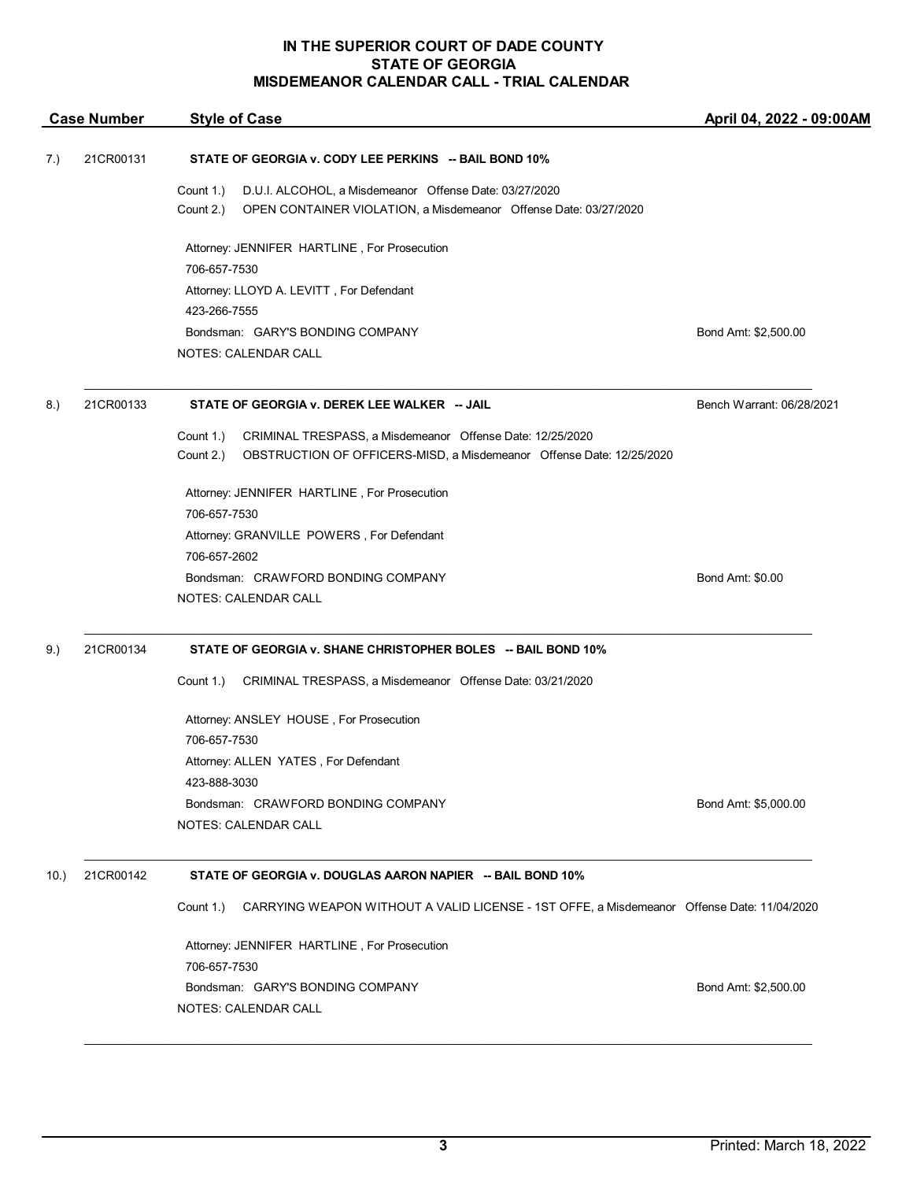|     | <b>Case Number</b> | <b>Style of Case</b>                                                                                    | April 04, 2022 - 09:00AM  |
|-----|--------------------|---------------------------------------------------------------------------------------------------------|---------------------------|
| 7.) | 21CR00131          | STATE OF GEORGIA v. CODY LEE PERKINS -- BAIL BOND 10%                                                   |                           |
|     |                    | D.U.I. ALCOHOL, a Misdemeanor Offense Date: 03/27/2020<br>Count 1.)                                     |                           |
|     |                    | Count 2.)<br>OPEN CONTAINER VIOLATION, a Misdemeanor Offense Date: 03/27/2020                           |                           |
|     |                    | Attorney: JENNIFER HARTLINE, For Prosecution                                                            |                           |
|     |                    | 706-657-7530                                                                                            |                           |
|     |                    | Attorney: LLOYD A. LEVITT, For Defendant                                                                |                           |
|     |                    | 423-266-7555                                                                                            |                           |
|     |                    | Bondsman: GARY'S BONDING COMPANY                                                                        | Bond Amt: \$2,500.00      |
|     |                    | NOTES: CALENDAR CALL                                                                                    |                           |
| 8.) | 21CR00133          | STATE OF GEORGIA v. DEREK LEE WALKER -- JAIL                                                            | Bench Warrant: 06/28/2021 |
|     |                    | CRIMINAL TRESPASS, a Misdemeanor Offense Date: 12/25/2020<br>Count 1.)                                  |                           |
|     |                    | Count 2.)<br>OBSTRUCTION OF OFFICERS-MISD, a Misdemeanor Offense Date: 12/25/2020                       |                           |
|     |                    | Attorney: JENNIFER HARTLINE, For Prosecution                                                            |                           |
|     |                    | 706-657-7530                                                                                            |                           |
|     |                    | Attorney: GRANVILLE POWERS, For Defendant                                                               |                           |
|     |                    | 706-657-2602                                                                                            |                           |
|     |                    | Bondsman: CRAWFORD BONDING COMPANY                                                                      | Bond Amt: \$0.00          |
|     |                    | NOTES: CALENDAR CALL                                                                                    |                           |
| 9.) | 21CR00134          | STATE OF GEORGIA v. SHANE CHRISTOPHER BOLES -- BAIL BOND 10%                                            |                           |
|     |                    | CRIMINAL TRESPASS, a Misdemeanor Offense Date: 03/21/2020<br>Count 1.)                                  |                           |
|     |                    | Attorney: ANSLEY HOUSE, For Prosecution                                                                 |                           |
|     |                    | 706-657-7530                                                                                            |                           |
|     |                    | Attorney: ALLEN YATES, For Defendant                                                                    |                           |
|     |                    | 423-888-3030                                                                                            |                           |
|     |                    | Bondsman: CRAWFORD BONDING COMPANY                                                                      | Bond Amt: \$5,000.00      |
|     |                    | NOTES: CALENDAR CALL                                                                                    |                           |
| 10. | 21CR00142          | STATE OF GEORGIA v. DOUGLAS AARON NAPIER -- BAIL BOND 10%                                               |                           |
|     |                    | Count 1.)<br>CARRYING WEAPON WITHOUT A VALID LICENSE - 1ST OFFE, a Misdemeanor Offense Date: 11/04/2020 |                           |
|     |                    | Attorney: JENNIFER HARTLINE, For Prosecution<br>706-657-7530                                            |                           |
|     |                    | Bondsman: GARY'S BONDING COMPANY                                                                        | Bond Amt: \$2,500.00      |
|     |                    | NOTES: CALENDAR CALL                                                                                    |                           |
|     |                    |                                                                                                         |                           |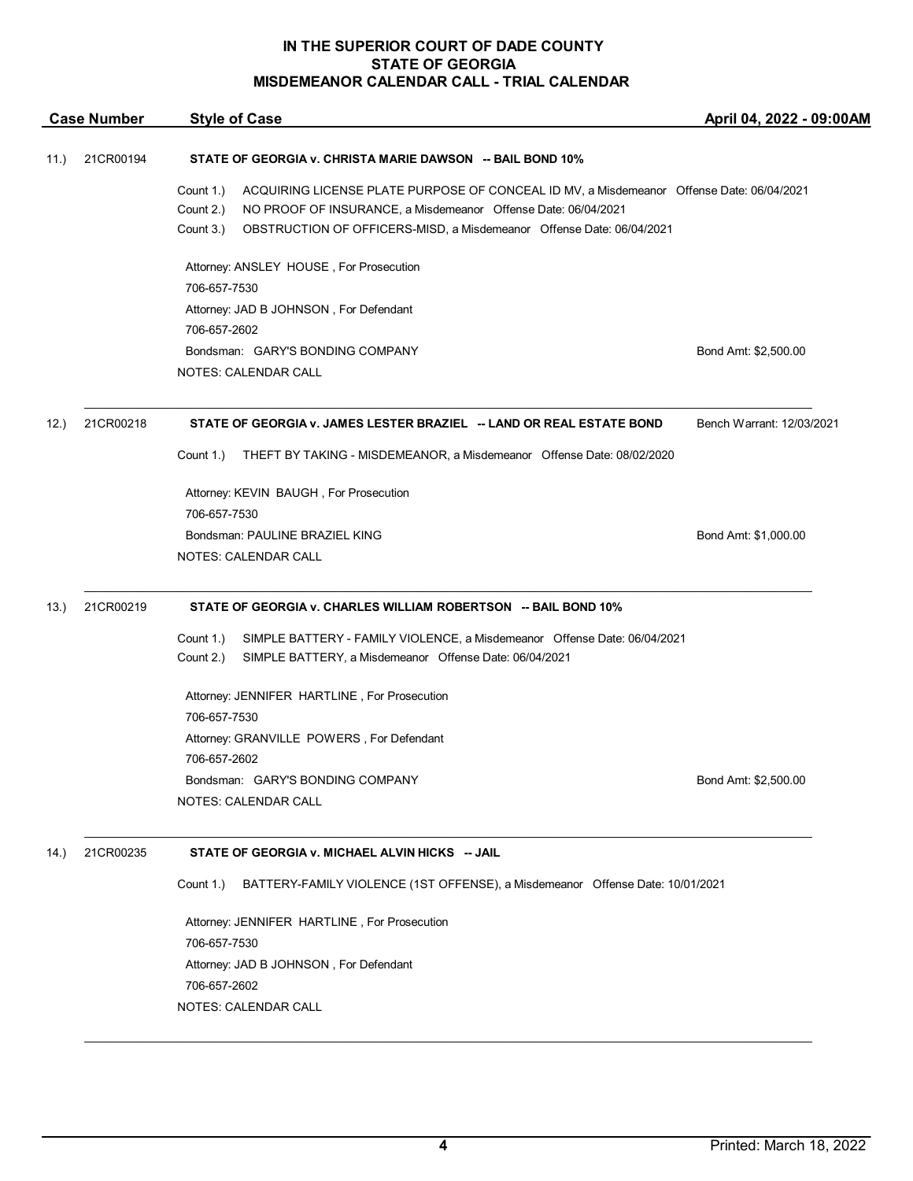|                   | <b>Case Number</b> | <b>Style of Case</b>                                                                                                                                                                                                                                                     | April 04, 2022 - 09:00AM  |
|-------------------|--------------------|--------------------------------------------------------------------------------------------------------------------------------------------------------------------------------------------------------------------------------------------------------------------------|---------------------------|
| 21CR00194<br>11.) |                    | STATE OF GEORGIA v. CHRISTA MARIE DAWSON -- BAIL BOND 10%                                                                                                                                                                                                                |                           |
|                   |                    | Count 1.)<br>ACQUIRING LICENSE PLATE PURPOSE OF CONCEAL ID MV, a Misdemeanor Offense Date: 06/04/2021<br>Count 2.)<br>NO PROOF OF INSURANCE, a Misdemeanor Offense Date: 06/04/2021<br>OBSTRUCTION OF OFFICERS-MISD, a Misdemeanor Offense Date: 06/04/2021<br>Count 3.) |                           |
|                   |                    | Attorney: ANSLEY HOUSE, For Prosecution                                                                                                                                                                                                                                  |                           |
|                   |                    | 706-657-7530                                                                                                                                                                                                                                                             |                           |
|                   |                    | Attorney: JAD B JOHNSON, For Defendant                                                                                                                                                                                                                                   |                           |
|                   |                    | 706-657-2602                                                                                                                                                                                                                                                             |                           |
|                   |                    | Bondsman: GARY'S BONDING COMPANY                                                                                                                                                                                                                                         | Bond Amt: \$2,500.00      |
|                   |                    | NOTES: CALENDAR CALL                                                                                                                                                                                                                                                     |                           |
| 12.               | 21CR00218          | STATE OF GEORGIA v. JAMES LESTER BRAZIEL -- LAND OR REAL ESTATE BOND                                                                                                                                                                                                     | Bench Warrant: 12/03/2021 |
|                   |                    | Count 1.)<br>THEFT BY TAKING - MISDEMEANOR, a Misdemeanor Offense Date: 08/02/2020                                                                                                                                                                                       |                           |
|                   |                    | Attorney: KEVIN BAUGH, For Prosecution                                                                                                                                                                                                                                   |                           |
|                   |                    | 706-657-7530                                                                                                                                                                                                                                                             |                           |
|                   |                    | Bondsman: PAULINE BRAZIEL KING                                                                                                                                                                                                                                           | Bond Amt: \$1,000.00      |
|                   |                    | <b>NOTES: CALENDAR CALL</b>                                                                                                                                                                                                                                              |                           |
| 13.               | 21CR00219          | STATE OF GEORGIA v. CHARLES WILLIAM ROBERTSON -- BAIL BOND 10%                                                                                                                                                                                                           |                           |
|                   |                    | SIMPLE BATTERY - FAMILY VIOLENCE, a Misdemeanor Offense Date: 06/04/2021<br>Count 1.)                                                                                                                                                                                    |                           |
|                   |                    | Count 2.)<br>SIMPLE BATTERY, a Misdemeanor Offense Date: 06/04/2021                                                                                                                                                                                                      |                           |
|                   |                    | Attorney: JENNIFER HARTLINE, For Prosecution                                                                                                                                                                                                                             |                           |
|                   |                    | 706-657-7530                                                                                                                                                                                                                                                             |                           |
|                   |                    | Attorney: GRANVILLE POWERS, For Defendant                                                                                                                                                                                                                                |                           |
|                   |                    | 706-657-2602                                                                                                                                                                                                                                                             |                           |
|                   |                    | Bondsman: GARY'S BONDING COMPANY                                                                                                                                                                                                                                         | Bond Amt: \$2,500.00      |
|                   |                    | <b>NOTES: CALENDAR CALL</b>                                                                                                                                                                                                                                              |                           |
| 14.)              | 21CR00235          | STATE OF GEORGIA v. MICHAEL ALVIN HICKS -- JAIL                                                                                                                                                                                                                          |                           |
|                   |                    | BATTERY-FAMILY VIOLENCE (1ST OFFENSE), a Misdemeanor Offense Date: 10/01/2021<br>Count 1.)                                                                                                                                                                               |                           |
|                   |                    | Attorney: JENNIFER HARTLINE, For Prosecution                                                                                                                                                                                                                             |                           |
|                   |                    | 706-657-7530                                                                                                                                                                                                                                                             |                           |
|                   |                    | Attorney: JAD B JOHNSON, For Defendant                                                                                                                                                                                                                                   |                           |
|                   |                    | 706-657-2602                                                                                                                                                                                                                                                             |                           |
|                   |                    | NOTES: CALENDAR CALL                                                                                                                                                                                                                                                     |                           |
|                   |                    |                                                                                                                                                                                                                                                                          |                           |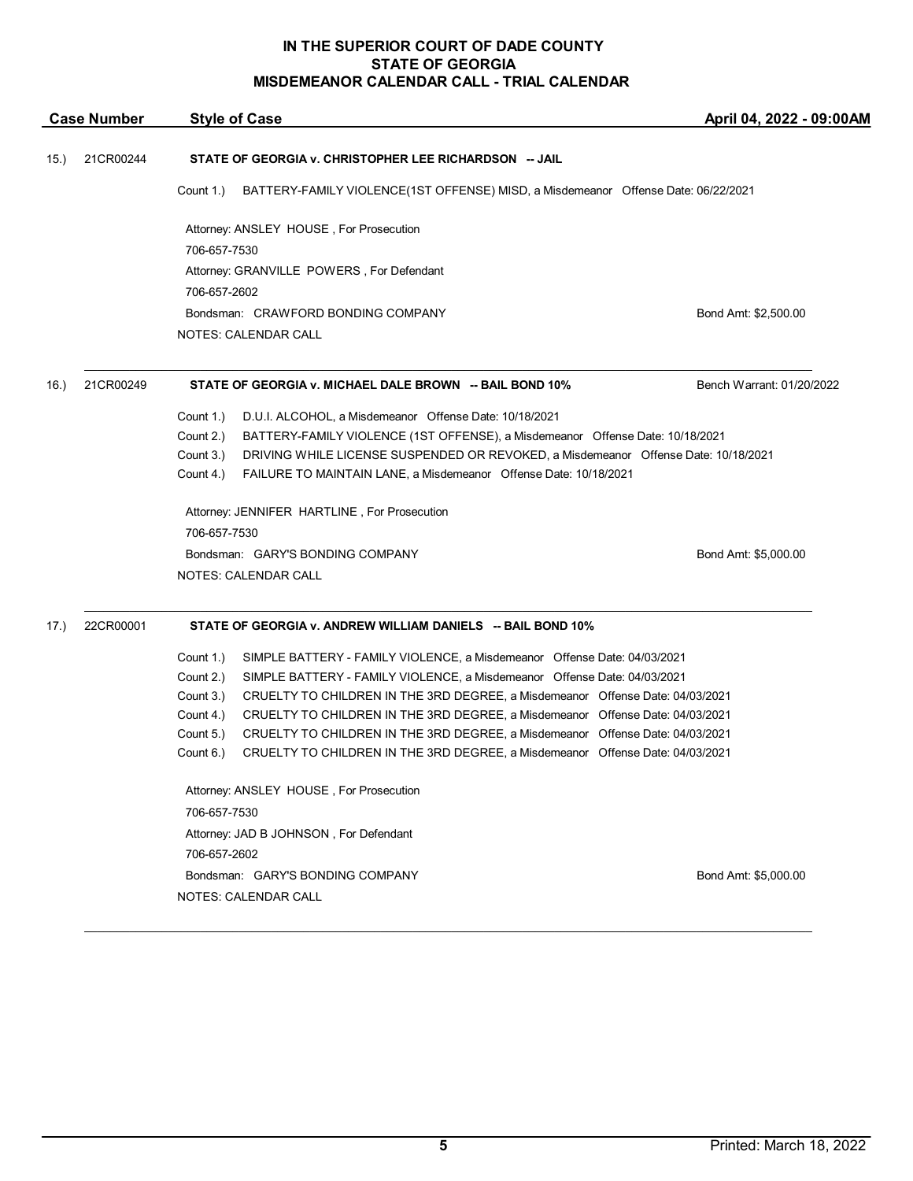|      | <b>Case Number</b> | <b>Style of Case</b>                                                                                                                                                                     | April 04, 2022 - 09:00AM  |
|------|--------------------|------------------------------------------------------------------------------------------------------------------------------------------------------------------------------------------|---------------------------|
| 15.) | 21CR00244          | STATE OF GEORGIA v. CHRISTOPHER LEE RICHARDSON -- JAIL                                                                                                                                   |                           |
|      |                    | BATTERY-FAMILY VIOLENCE(1ST OFFENSE) MISD, a Misdemeanor Offense Date: 06/22/2021<br>Count 1.)                                                                                           |                           |
|      |                    | Attorney: ANSLEY HOUSE, For Prosecution                                                                                                                                                  |                           |
|      |                    | 706-657-7530                                                                                                                                                                             |                           |
|      |                    | Attorney: GRANVILLE POWERS, For Defendant                                                                                                                                                |                           |
|      |                    | 706-657-2602                                                                                                                                                                             |                           |
|      |                    | Bondsman: CRAWFORD BONDING COMPANY                                                                                                                                                       | Bond Amt: \$2,500.00      |
|      |                    | NOTES: CALENDAR CALL                                                                                                                                                                     |                           |
| 16.) | 21CR00249          | STATE OF GEORGIA v. MICHAEL DALE BROWN -- BAIL BOND 10%                                                                                                                                  | Bench Warrant: 01/20/2022 |
|      |                    | Count 1.)<br>D.U.I. ALCOHOL, a Misdemeanor Offense Date: 10/18/2021                                                                                                                      |                           |
|      |                    | Count 2.)<br>BATTERY-FAMILY VIOLENCE (1ST OFFENSE), a Misdemeanor Offense Date: 10/18/2021                                                                                               |                           |
|      |                    | Count 3.)<br>DRIVING WHILE LICENSE SUSPENDED OR REVOKED, a Misdemeanor Offense Date: 10/18/2021                                                                                          |                           |
|      |                    | Count 4.)<br>FAILURE TO MAINTAIN LANE, a Misdemeanor Offense Date: 10/18/2021                                                                                                            |                           |
|      |                    | Attorney: JENNIFER HARTLINE, For Prosecution                                                                                                                                             |                           |
|      |                    | 706-657-7530                                                                                                                                                                             |                           |
|      |                    | Bondsman: GARY'S BONDING COMPANY                                                                                                                                                         | Bond Amt: \$5,000.00      |
|      |                    | NOTES: CALENDAR CALL                                                                                                                                                                     |                           |
| 17.) | 22CR00001          | STATE OF GEORGIA v. ANDREW WILLIAM DANIELS -- BAIL BOND 10%                                                                                                                              |                           |
|      |                    | Count 1.)<br>SIMPLE BATTERY - FAMILY VIOLENCE, a Misdemeanor Offense Date: 04/03/2021                                                                                                    |                           |
|      |                    | Count 2.)<br>SIMPLE BATTERY - FAMILY VIOLENCE, a Misdemeanor Offense Date: 04/03/2021                                                                                                    |                           |
|      |                    | Count 3.)<br>CRUELTY TO CHILDREN IN THE 3RD DEGREE, a Misdemeanor Offense Date: 04/03/2021                                                                                               |                           |
|      |                    | Count 4.)<br>CRUELTY TO CHILDREN IN THE 3RD DEGREE, a Misdemeanor Offense Date: 04/03/2021                                                                                               |                           |
|      |                    | Count 5.)<br>CRUELTY TO CHILDREN IN THE 3RD DEGREE, a Misdemeanor Offense Date: 04/03/2021<br>Count 6.)<br>CRUELTY TO CHILDREN IN THE 3RD DEGREE, a Misdemeanor Offense Date: 04/03/2021 |                           |
|      |                    |                                                                                                                                                                                          |                           |
|      |                    | Attorney: ANSLEY HOUSE, For Prosecution                                                                                                                                                  |                           |
|      |                    | 706-657-7530                                                                                                                                                                             |                           |
|      |                    | Attorney: JAD B JOHNSON, For Defendant                                                                                                                                                   |                           |
|      |                    | 706-657-2602                                                                                                                                                                             |                           |
|      |                    | Bondsman: GARY'S BONDING COMPANY                                                                                                                                                         | Bond Amt: \$5,000.00      |
|      |                    | NOTES: CALENDAR CALL                                                                                                                                                                     |                           |
|      |                    |                                                                                                                                                                                          |                           |

\_\_\_\_\_\_\_\_\_\_\_\_\_\_\_\_\_\_\_\_\_\_\_\_\_\_\_\_\_\_\_\_\_\_\_\_\_\_\_\_\_\_\_\_\_\_\_\_\_\_\_\_\_\_\_\_\_\_\_\_\_\_\_\_\_\_\_\_\_\_\_\_\_\_\_\_\_\_\_\_\_\_\_\_\_\_\_\_\_\_\_\_\_\_\_\_\_\_\_\_\_\_\_\_\_\_\_\_\_\_\_\_\_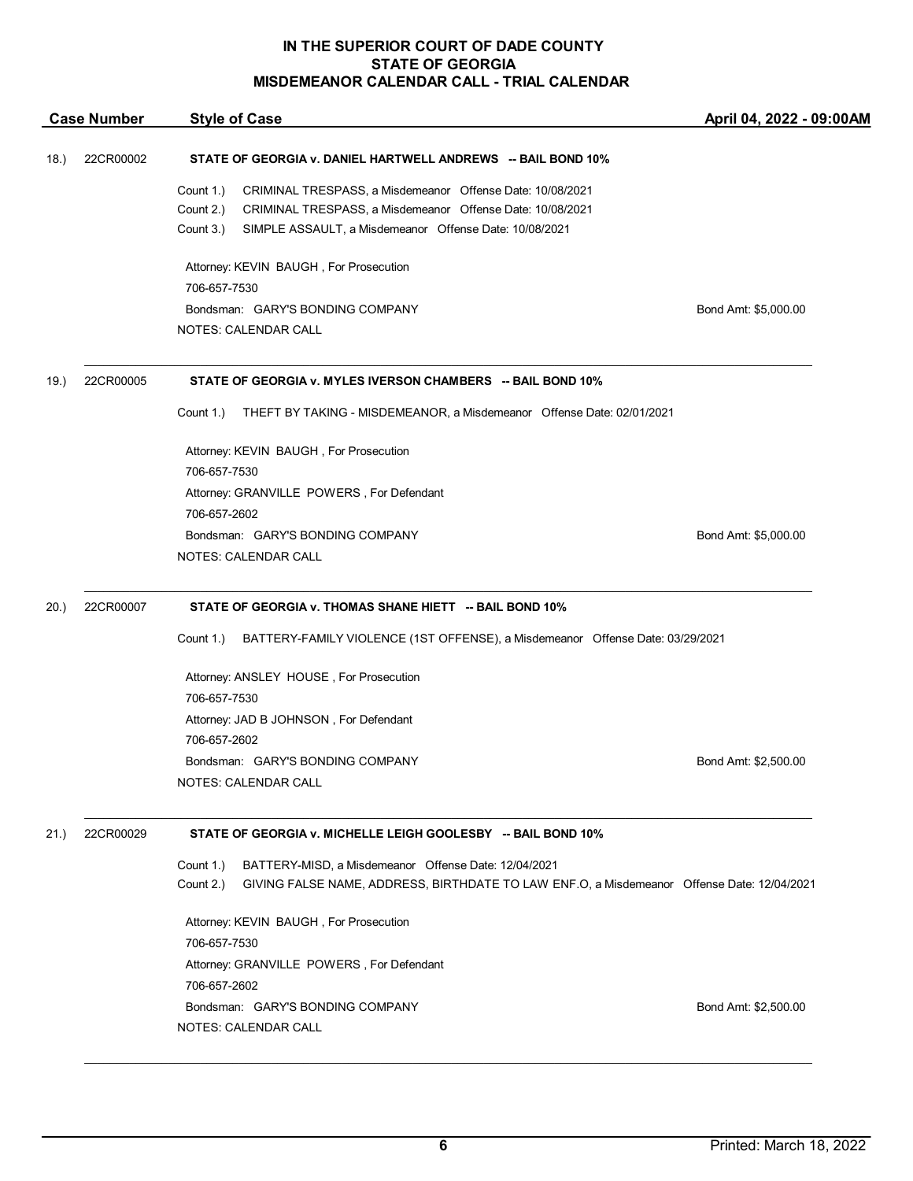|      | <b>Case Number</b> | <b>Style of Case</b>                                                                                                                                                                                                    | April 04, 2022 - 09:00AM |
|------|--------------------|-------------------------------------------------------------------------------------------------------------------------------------------------------------------------------------------------------------------------|--------------------------|
| 18.) | 22CR00002          | STATE OF GEORGIA v. DANIEL HARTWELL ANDREWS -- BAIL BOND 10%                                                                                                                                                            |                          |
|      |                    | CRIMINAL TRESPASS, a Misdemeanor Offense Date: 10/08/2021<br>Count 1.)<br>Count 2.)<br>CRIMINAL TRESPASS, a Misdemeanor Offense Date: 10/08/2021<br>Count 3.)<br>SIMPLE ASSAULT, a Misdemeanor Offense Date: 10/08/2021 |                          |
|      |                    | Attorney: KEVIN BAUGH, For Prosecution                                                                                                                                                                                  |                          |
|      |                    | 706-657-7530                                                                                                                                                                                                            |                          |
|      |                    | Bondsman: GARY'S BONDING COMPANY                                                                                                                                                                                        | Bond Amt: \$5,000.00     |
|      |                    | NOTES: CALENDAR CALL                                                                                                                                                                                                    |                          |
| 19.) | 22CR00005          | STATE OF GEORGIA v. MYLES IVERSON CHAMBERS -- BAIL BOND 10%                                                                                                                                                             |                          |
|      |                    | Count 1.)<br>THEFT BY TAKING - MISDEMEANOR, a Misdemeanor Offense Date: 02/01/2021                                                                                                                                      |                          |
|      |                    | Attorney: KEVIN BAUGH, For Prosecution                                                                                                                                                                                  |                          |
|      |                    | 706-657-7530                                                                                                                                                                                                            |                          |
|      |                    | Attorney: GRANVILLE POWERS, For Defendant<br>706-657-2602                                                                                                                                                               |                          |
|      |                    | Bondsman: GARY'S BONDING COMPANY                                                                                                                                                                                        | Bond Amt: \$5,000.00     |
|      |                    | NOTES: CALENDAR CALL                                                                                                                                                                                                    |                          |
|      |                    |                                                                                                                                                                                                                         |                          |
| 20.) | 22CR00007          | STATE OF GEORGIA v. THOMAS SHANE HIETT -- BAIL BOND 10%                                                                                                                                                                 |                          |
|      |                    | Count 1.)<br>BATTERY-FAMILY VIOLENCE (1ST OFFENSE), a Misdemeanor Offense Date: 03/29/2021                                                                                                                              |                          |
|      |                    | Attorney: ANSLEY HOUSE, For Prosecution                                                                                                                                                                                 |                          |
|      |                    | 706-657-7530                                                                                                                                                                                                            |                          |
|      |                    | Attorney: JAD B JOHNSON, For Defendant                                                                                                                                                                                  |                          |
|      |                    | 706-657-2602                                                                                                                                                                                                            |                          |
|      |                    | Bondsman: GARY'S BONDING COMPANY                                                                                                                                                                                        | Bond Amt: \$2,500.00     |
|      |                    | <b>NOTES: CALENDAR CALL</b>                                                                                                                                                                                             |                          |
| 21.) | 22CR00029          | STATE OF GEORGIA v. MICHELLE LEIGH GOOLESBY -- BAIL BOND 10%                                                                                                                                                            |                          |
|      |                    | BATTERY-MISD, a Misdemeanor Offense Date: 12/04/2021<br>Count 1.)                                                                                                                                                       |                          |
|      |                    | Count 2.)<br>GIVING FALSE NAME, ADDRESS, BIRTHDATE TO LAW ENF.O, a Misdemeanor Offense Date: 12/04/2021                                                                                                                 |                          |
|      |                    | Attorney: KEVIN BAUGH, For Prosecution                                                                                                                                                                                  |                          |
|      |                    | 706-657-7530                                                                                                                                                                                                            |                          |
|      |                    | Attorney: GRANVILLE POWERS, For Defendant                                                                                                                                                                               |                          |
|      |                    | 706-657-2602                                                                                                                                                                                                            |                          |
|      |                    | Bondsman: GARY'S BONDING COMPANY                                                                                                                                                                                        | Bond Amt: \$2,500.00     |
|      |                    | NOTES: CALENDAR CALL                                                                                                                                                                                                    |                          |

\_\_\_\_\_\_\_\_\_\_\_\_\_\_\_\_\_\_\_\_\_\_\_\_\_\_\_\_\_\_\_\_\_\_\_\_\_\_\_\_\_\_\_\_\_\_\_\_\_\_\_\_\_\_\_\_\_\_\_\_\_\_\_\_\_\_\_\_\_\_\_\_\_\_\_\_\_\_\_\_\_\_\_\_\_\_\_\_\_\_\_\_\_\_\_\_\_\_\_\_\_\_\_\_\_\_\_\_\_\_\_\_\_